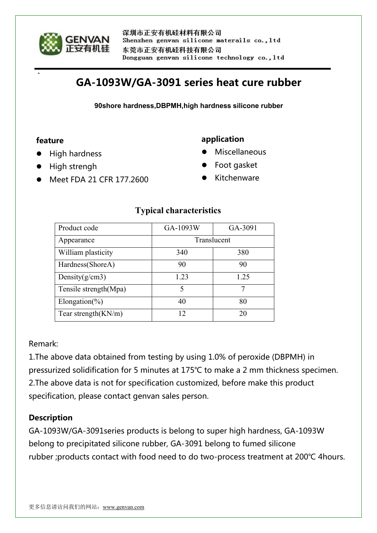

# **GA-1093W/GA-3091 series heat cure rubber**

**90shore hardness,DBPMH,high hardness silicone rubber**

#### **feature**

- High hardness
- High strengh
- Meet FDA 21 CFR 177.2600

# **application**

- Miscellaneous
- Foot gasket
- Kitchenware

| Product code           | GA-1093W    | GA-3091 |
|------------------------|-------------|---------|
| Appearance             | Translucent |         |
| William plasticity     | 340         | 380     |
| Hardness(ShoreA)       | 90          | 90      |
| Density $(g/cm3)$      | 1 23        | 1.25    |
| Tensile strength(Mpa)  | 5           | 7       |
| Elongation(%)          | 40          | 80      |
| Tear strength $(KN/m)$ | $12 \,$     | 20      |

## **Typical characteristics**

Remark:

1.The above data obtained from testing by using 1.0% of peroxide (DBPMH) in pressurized solidification for 5 minutes at 175℃ to make a 2 mm thickness specimen. 2.The above data is not for specification customized, before make this product specification, please contact genvan sales person.

## **Description**

GA-1093W/GA-3091series products is belong to super high hardness, GA-1093W belong to precipitated silicone rubber, GA-3091 belong to fumed silicone rubber ;products contact with food need to do two-process treatment at 200℃ 4hours.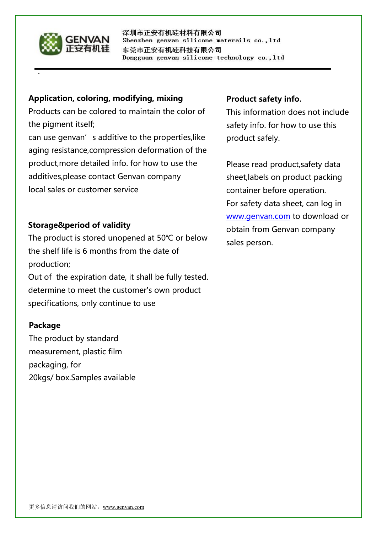

深圳市正安有机硅材料有限公司 Shenzhen genvan silicone materails co., ltd 东莞市正安有机硅科技有限公司 Dongguan genvan silicone technology co., ltd

#### **Application, coloring, modifying, mixing**

Products can be colored to maintain the color of the pigment itself;

can use genvan's additive to the properties, like aging resistance,compression deformation of the product,more detailed info. for how to use the additives,please contact Genvan company local sales or customer service

## **Storage&period of validity**

The product is stored unopened at 50℃ or below the shelf life is 6 months from the date of production; Out of the expiration date, it shall be fully tested. determine to meet the customer's own product specifications, only continue to use

## **Package**

The product by standard measurement, plastic film packaging, for 20kgs/ box.Samples available

## **Product safety info.**

This information does not include safety info. for how to use this product safely.

Please read product,safety data sheet,labels on product packing container before operation. For safety data sheet, can log in [www.genvan.com](http://www.genvan.com) to download or obtain from Genvan company sales person.